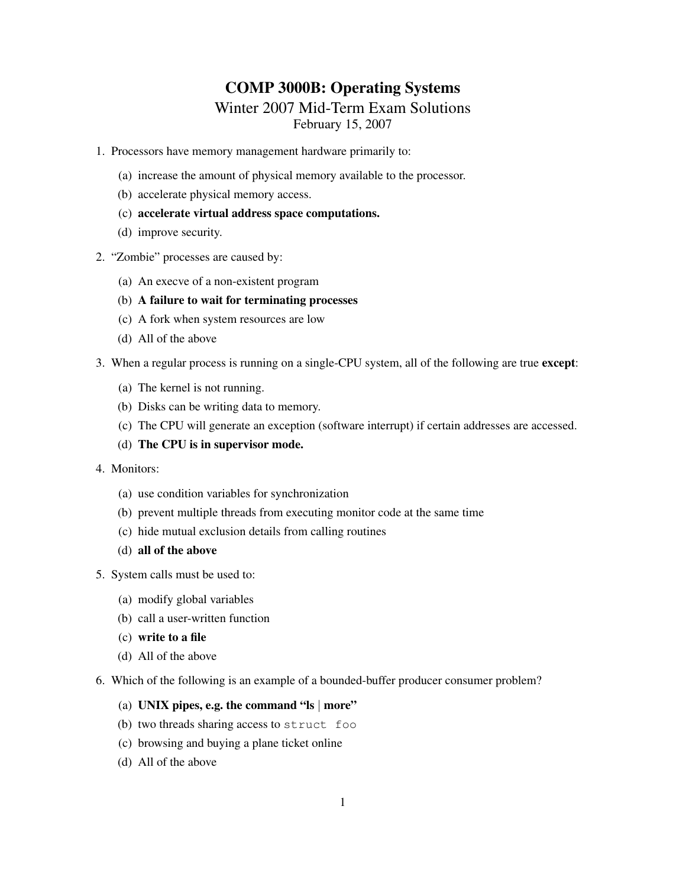# COMP 3000B: Operating Systems

# Winter 2007 Mid-Term Exam Solutions

February 15, 2007

- 1. Processors have memory management hardware primarily to:
	- (a) increase the amount of physical memory available to the processor.
	- (b) accelerate physical memory access.
	- (c) accelerate virtual address space computations.
	- (d) improve security.
- 2. "Zombie" processes are caused by:
	- (a) An execve of a non-existent program
	- (b) A failure to wait for terminating processes
	- (c) A fork when system resources are low
	- (d) All of the above
- 3. When a regular process is running on a single-CPU system, all of the following are true except:
	- (a) The kernel is not running.
	- (b) Disks can be writing data to memory.
	- (c) The CPU will generate an exception (software interrupt) if certain addresses are accessed.
	- (d) The CPU is in supervisor mode.
- 4. Monitors:
	- (a) use condition variables for synchronization
	- (b) prevent multiple threads from executing monitor code at the same time
	- (c) hide mutual exclusion details from calling routines
	- (d) all of the above
- 5. System calls must be used to:
	- (a) modify global variables
	- (b) call a user-written function
	- (c) write to a file
	- (d) All of the above
- 6. Which of the following is an example of a bounded-buffer producer consumer problem?
	- (a) UNIX pipes, e.g. the command " $\vert$ s | more"
	- (b) two threads sharing access to struct foo
	- (c) browsing and buying a plane ticket online
	- (d) All of the above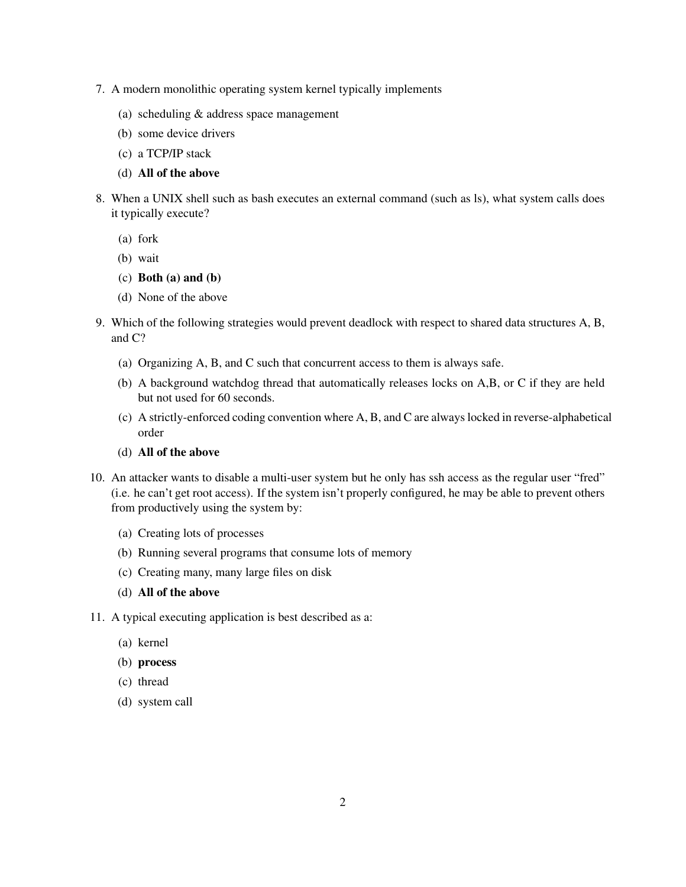- 7. A modern monolithic operating system kernel typically implements
	- (a) scheduling & address space management
	- (b) some device drivers
	- (c) a TCP/IP stack
	- (d) All of the above
- 8. When a UNIX shell such as bash executes an external command (such as ls), what system calls does it typically execute?
	- (a) fork
	- (b) wait
	- (c) Both (a) and (b)
	- (d) None of the above
- 9. Which of the following strategies would prevent deadlock with respect to shared data structures A, B, and C?
	- (a) Organizing A, B, and C such that concurrent access to them is always safe.
	- (b) A background watchdog thread that automatically releases locks on A,B, or C if they are held but not used for 60 seconds.
	- (c) A strictly-enforced coding convention where A, B, and C are always locked in reverse-alphabetical order
	- (d) All of the above
- 10. An attacker wants to disable a multi-user system but he only has ssh access as the regular user "fred" (i.e. he can't get root access). If the system isn't properly configured, he may be able to prevent others from productively using the system by:
	- (a) Creating lots of processes
	- (b) Running several programs that consume lots of memory
	- (c) Creating many, many large files on disk
	- (d) All of the above

11. A typical executing application is best described as a:

- (a) kernel
- (b) process
- (c) thread
- (d) system call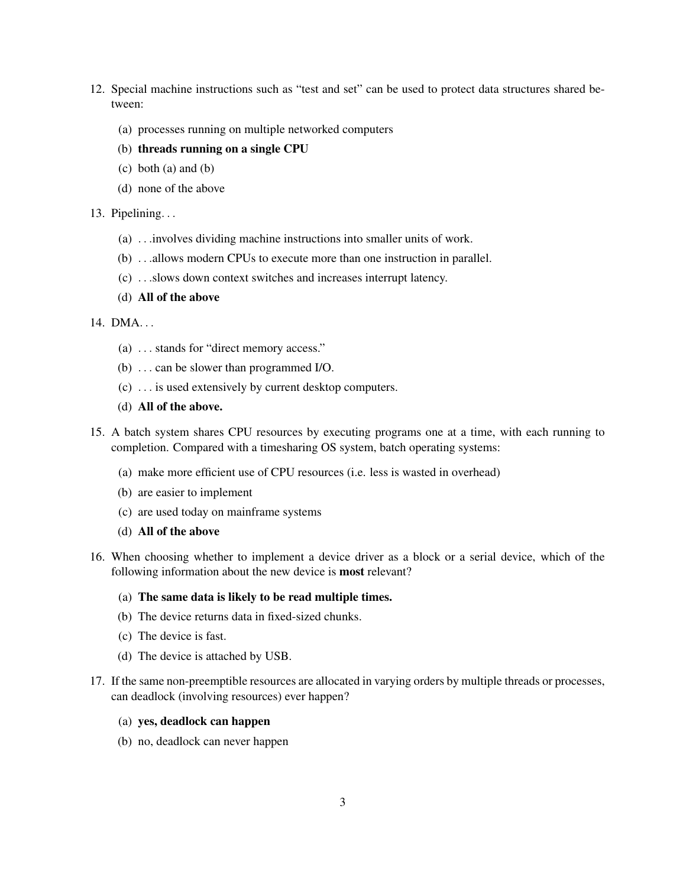- 12. Special machine instructions such as "test and set" can be used to protect data structures shared between:
	- (a) processes running on multiple networked computers
	- (b) threads running on a single CPU
	- $(c)$  both  $(a)$  and  $(b)$
	- (d) none of the above

#### 13. Pipelining. . .

- (a) . . .involves dividing machine instructions into smaller units of work.
- (b) . . .allows modern CPUs to execute more than one instruction in parallel.
- (c) . . .slows down context switches and increases interrupt latency.
- (d) All of the above

## 14. DMA. . .

- (a) . . . stands for "direct memory access."
- (b) . . . can be slower than programmed I/O.
- (c) . . . is used extensively by current desktop computers.
- (d) All of the above.
- 15. A batch system shares CPU resources by executing programs one at a time, with each running to completion. Compared with a timesharing OS system, batch operating systems:
	- (a) make more efficient use of CPU resources (i.e. less is wasted in overhead)
	- (b) are easier to implement
	- (c) are used today on mainframe systems
	- (d) All of the above
- 16. When choosing whether to implement a device driver as a block or a serial device, which of the following information about the new device is most relevant?

#### (a) The same data is likely to be read multiple times.

- (b) The device returns data in fixed-sized chunks.
- (c) The device is fast.
- (d) The device is attached by USB.
- 17. If the same non-preemptible resources are allocated in varying orders by multiple threads or processes, can deadlock (involving resources) ever happen?

### (a) yes, deadlock can happen

(b) no, deadlock can never happen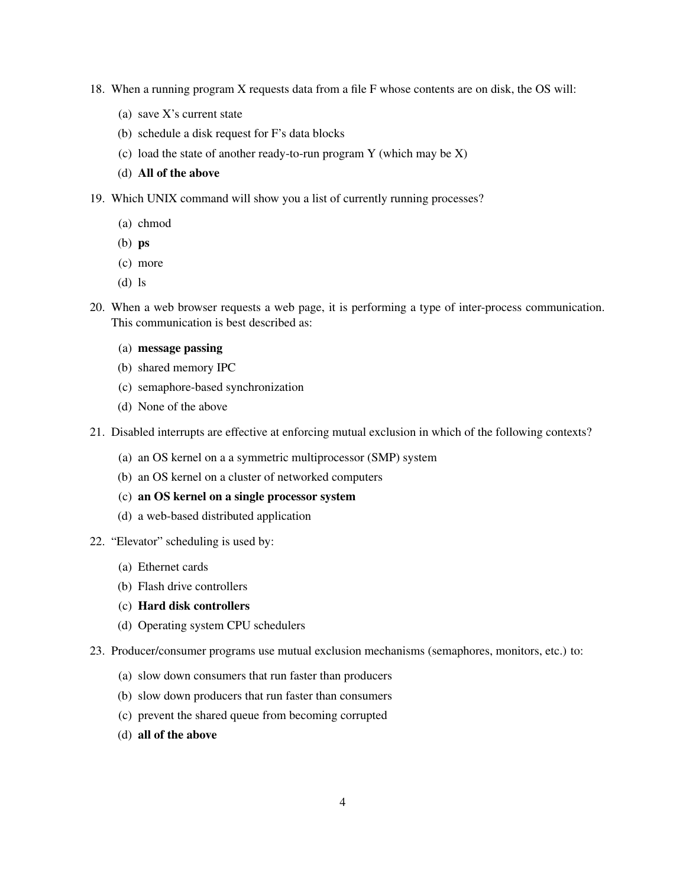- 18. When a running program X requests data from a file F whose contents are on disk, the OS will:
	- (a) save X's current state
	- (b) schedule a disk request for F's data blocks
	- (c) load the state of another ready-to-run program Y (which may be X)
	- (d) All of the above
- 19. Which UNIX command will show you a list of currently running processes?
	- (a) chmod
	- (b) ps
	- (c) more
	- (d) ls
- 20. When a web browser requests a web page, it is performing a type of inter-process communication. This communication is best described as:
	- (a) message passing
	- (b) shared memory IPC
	- (c) semaphore-based synchronization
	- (d) None of the above
- 21. Disabled interrupts are effective at enforcing mutual exclusion in which of the following contexts?
	- (a) an OS kernel on a a symmetric multiprocessor (SMP) system
	- (b) an OS kernel on a cluster of networked computers
	- (c) an OS kernel on a single processor system
	- (d) a web-based distributed application
- 22. "Elevator" scheduling is used by:
	- (a) Ethernet cards
	- (b) Flash drive controllers
	- (c) Hard disk controllers
	- (d) Operating system CPU schedulers
- 23. Producer/consumer programs use mutual exclusion mechanisms (semaphores, monitors, etc.) to:
	- (a) slow down consumers that run faster than producers
	- (b) slow down producers that run faster than consumers
	- (c) prevent the shared queue from becoming corrupted
	- (d) all of the above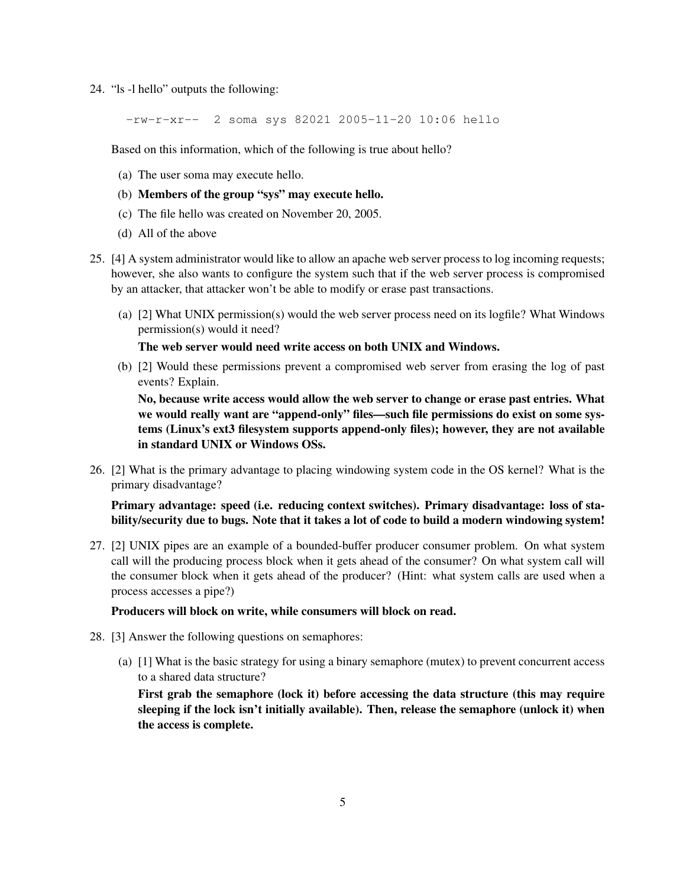24. "ls -l hello" outputs the following:

-rw-r-xr-- 2 soma sys 82021 2005-11-20 10:06 hello

Based on this information, which of the following is true about hello?

- (a) The user soma may execute hello.
- (b) Members of the group "sys" may execute hello.
- (c) The file hello was created on November 20, 2005.
- (d) All of the above
- 25. [4] A system administrator would like to allow an apache web server process to log incoming requests; however, she also wants to configure the system such that if the web server process is compromised by an attacker, that attacker won't be able to modify or erase past transactions.
	- (a) [2] What UNIX permission(s) would the web server process need on its logfile? What Windows permission(s) would it need?

The web server would need write access on both UNIX and Windows.

(b) [2] Would these permissions prevent a compromised web server from erasing the log of past events? Explain.

No, because write access would allow the web server to change or erase past entries. What we would really want are "append-only" files—such file permissions do exist on some systems (Linux's ext3 filesystem supports append-only files); however, they are not available in standard UNIX or Windows OSs.

26. [2] What is the primary advantage to placing windowing system code in the OS kernel? What is the primary disadvantage?

Primary advantage: speed (i.e. reducing context switches). Primary disadvantage: loss of stability/security due to bugs. Note that it takes a lot of code to build a modern windowing system!

27. [2] UNIX pipes are an example of a bounded-buffer producer consumer problem. On what system call will the producing process block when it gets ahead of the consumer? On what system call will the consumer block when it gets ahead of the producer? (Hint: what system calls are used when a process accesses a pipe?)

# Producers will block on write, while consumers will block on read.

- 28. [3] Answer the following questions on semaphores:
	- (a) [1] What is the basic strategy for using a binary semaphore (mutex) to prevent concurrent access to a shared data structure?

First grab the semaphore (lock it) before accessing the data structure (this may require sleeping if the lock isn't initially available). Then, release the semaphore (unlock it) when the access is complete.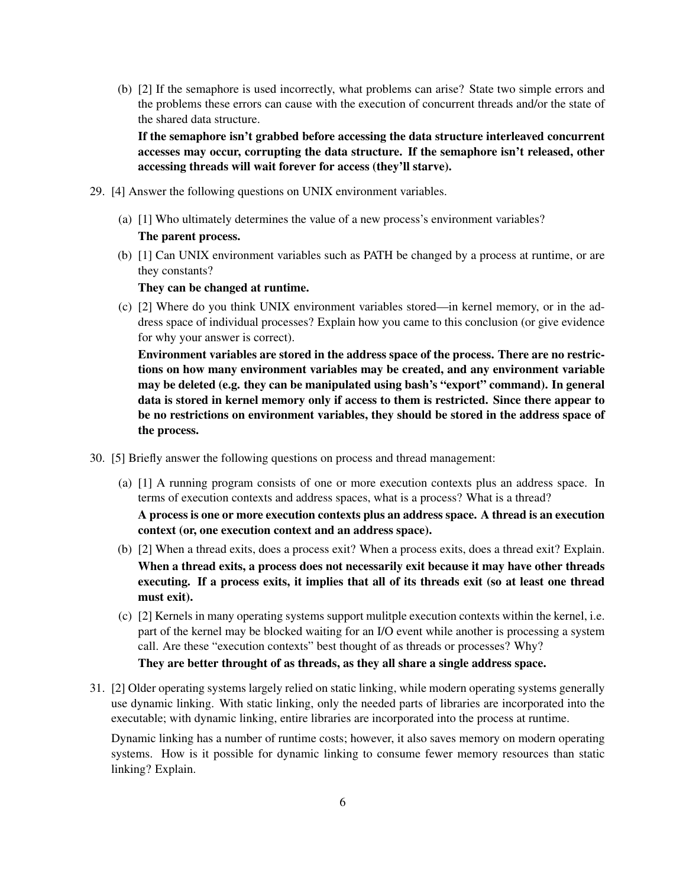(b) [2] If the semaphore is used incorrectly, what problems can arise? State two simple errors and the problems these errors can cause with the execution of concurrent threads and/or the state of the shared data structure.

If the semaphore isn't grabbed before accessing the data structure interleaved concurrent accesses may occur, corrupting the data structure. If the semaphore isn't released, other accessing threads will wait forever for access (they'll starve).

- 29. [4] Answer the following questions on UNIX environment variables.
	- (a) [1] Who ultimately determines the value of a new process's environment variables? The parent process.
	- (b) [1] Can UNIX environment variables such as PATH be changed by a process at runtime, or are they constants?

They can be changed at runtime.

(c) [2] Where do you think UNIX environment variables stored—in kernel memory, or in the address space of individual processes? Explain how you came to this conclusion (or give evidence for why your answer is correct).

Environment variables are stored in the address space of the process. There are no restrictions on how many environment variables may be created, and any environment variable may be deleted (e.g. they can be manipulated using bash's "export" command). In general data is stored in kernel memory only if access to them is restricted. Since there appear to be no restrictions on environment variables, they should be stored in the address space of the process.

- 30. [5] Briefly answer the following questions on process and thread management:
	- (a) [1] A running program consists of one or more execution contexts plus an address space. In terms of execution contexts and address spaces, what is a process? What is a thread? A process is one or more execution contexts plus an address space. A thread is an execution context (or, one execution context and an address space).
	- (b) [2] When a thread exits, does a process exit? When a process exits, does a thread exit? Explain. When a thread exits, a process does not necessarily exit because it may have other threads executing. If a process exits, it implies that all of its threads exit (so at least one thread must exit).
	- (c) [2] Kernels in many operating systems support mulitple execution contexts within the kernel, i.e. part of the kernel may be blocked waiting for an I/O event while another is processing a system call. Are these "execution contexts" best thought of as threads or processes? Why?

They are better throught of as threads, as they all share a single address space.

31. [2] Older operating systems largely relied on static linking, while modern operating systems generally use dynamic linking. With static linking, only the needed parts of libraries are incorporated into the executable; with dynamic linking, entire libraries are incorporated into the process at runtime.

Dynamic linking has a number of runtime costs; however, it also saves memory on modern operating systems. How is it possible for dynamic linking to consume fewer memory resources than static linking? Explain.